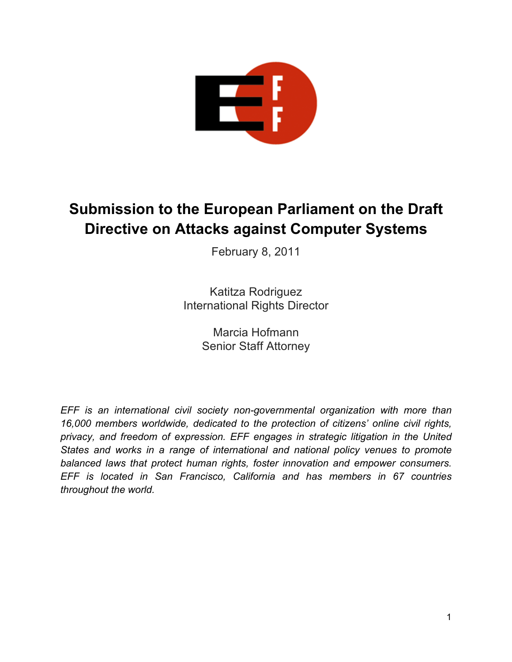

# **Submission to the European Parliament on the Draft Directive on Attacks against Computer Systems**

February 8, 2011

Katitza Rodriguez International Rights Director

> Marcia Hofmann Senior Staff Attorney

*EFF is an international civil society non-governmental organization with more than 16,000 members worldwide, dedicated to the protection of citizens' online civil rights, privacy, and freedom of expression. EFF engages in strategic litigation in the United States and works in a range of international and national policy venues to promote balanced laws that protect human rights, foster innovation and empower consumers. EFF is located in San Francisco, California and has members in 67 countries throughout the world.*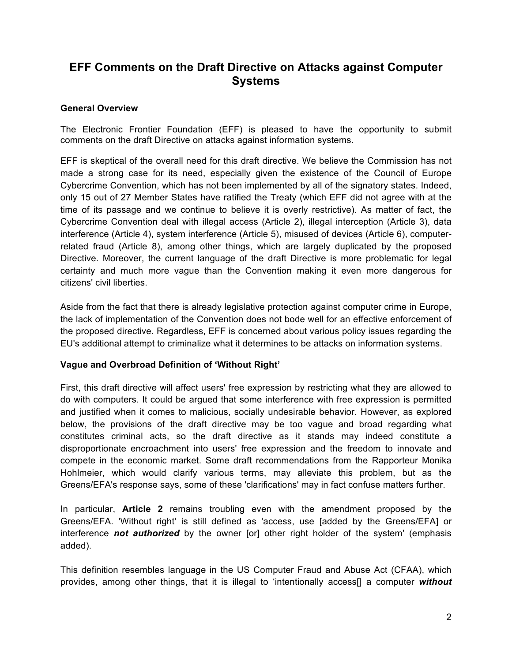# **EFF Comments on the Draft Directive on Attacks against Computer Systems**

#### **General Overview**

The Electronic Frontier Foundation (EFF) is pleased to have the opportunity to submit comments on the draft Directive on attacks against information systems.

EFF is skeptical of the overall need for this draft directive. We believe the Commission has not made a strong case for its need, especially given the existence of the Council of Europe Cybercrime Convention, which has not been implemented by all of the signatory states. Indeed, only 15 out of 27 Member States have ratified the Treaty (which EFF did not agree with at the time of its passage and we continue to believe it is overly restrictive). As matter of fact, the Cybercrime Convention deal with illegal access (Article 2), illegal interception (Article 3), data interference (Article 4), system interference (Article 5), misused of devices (Article 6), computerrelated fraud (Article 8), among other things, which are largely duplicated by the proposed Directive. Moreover, the current language of the draft Directive is more problematic for legal certainty and much more vague than the Convention making it even more dangerous for citizens' civil liberties.

Aside from the fact that there is already legislative protection against computer crime in Europe, the lack of implementation of the Convention does not bode well for an effective enforcement of the proposed directive. Regardless, EFF is concerned about various policy issues regarding the EU's additional attempt to criminalize what it determines to be attacks on information systems.

#### **Vague and Overbroad Definition of 'Without Right'**

First, this draft directive will affect users' free expression by restricting what they are allowed to do with computers. It could be argued that some interference with free expression is permitted and justified when it comes to malicious, socially undesirable behavior. However, as explored below, the provisions of the draft directive may be too vague and broad regarding what constitutes criminal acts, so the draft directive as it stands may indeed constitute a disproportionate encroachment into users' free expression and the freedom to innovate and compete in the economic market. Some draft recommendations from the Rapporteur Monika Hohlmeier, which would clarify various terms, may alleviate this problem, but as the Greens/EFA's response says, some of these 'clarifications' may in fact confuse matters further.

In particular, **Article 2** remains troubling even with the amendment proposed by the Greens/EFA. 'Without right' is still defined as 'access, use [added by the Greens/EFA] or interference *not authorized* by the owner [or] other right holder of the system' (emphasis added).

This definition resembles language in the US Computer Fraud and Abuse Act (CFAA), which provides, among other things, that it is illegal to 'intentionally access[] a computer *without*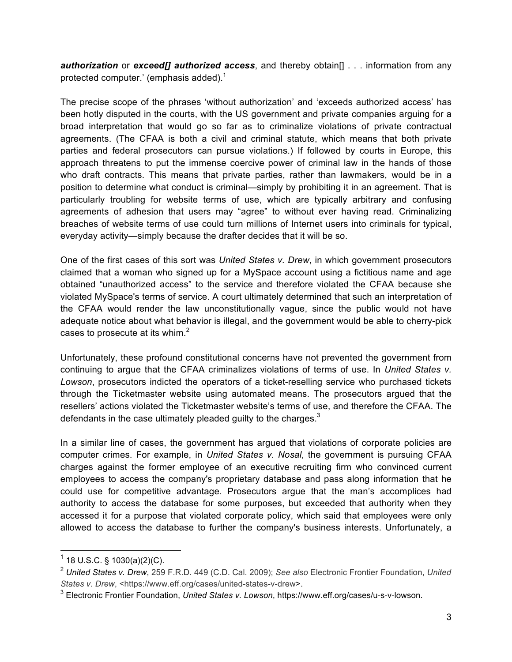*authorization* or *exceed[] authorized access*, and thereby obtain[] . . . information from any protected computer.' (emphasis added).<sup>1</sup>

The precise scope of the phrases 'without authorization' and 'exceeds authorized access' has been hotly disputed in the courts, with the US government and private companies arguing for a broad interpretation that would go so far as to criminalize violations of private contractual agreements. (The CFAA is both a civil and criminal statute, which means that both private parties and federal prosecutors can pursue violations.) If followed by courts in Europe, this approach threatens to put the immense coercive power of criminal law in the hands of those who draft contracts. This means that private parties, rather than lawmakers, would be in a position to determine what conduct is criminal—simply by prohibiting it in an agreement. That is particularly troubling for website terms of use, which are typically arbitrary and confusing agreements of adhesion that users may "agree" to without ever having read. Criminalizing breaches of website terms of use could turn millions of Internet users into criminals for typical, everyday activity—simply because the drafter decides that it will be so.

One of the first cases of this sort was *United States v. Drew*, in which government prosecutors claimed that a woman who signed up for a MySpace account using a fictitious name and age obtained "unauthorized access" to the service and therefore violated the CFAA because she violated MySpace's terms of service. A court ultimately determined that such an interpretation of the CFAA would render the law unconstitutionally vague, since the public would not have adequate notice about what behavior is illegal, and the government would be able to cherry-pick cases to prosecute at its whim. $<sup>2</sup>$ </sup>

Unfortunately, these profound constitutional concerns have not prevented the government from continuing to argue that the CFAA criminalizes violations of terms of use. In *United States v. Lowson*, prosecutors indicted the operators of a ticket-reselling service who purchased tickets through the Ticketmaster website using automated means. The prosecutors argued that the resellers' actions violated the Ticketmaster website's terms of use, and therefore the CFAA. The defendants in the case ultimately pleaded guilty to the charges. $3$ 

In a similar line of cases, the government has argued that violations of corporate policies are computer crimes. For example, in *United States v. Nosal*, the government is pursuing CFAA charges against the former employee of an executive recruiting firm who convinced current employees to access the company's proprietary database and pass along information that he could use for competitive advantage. Prosecutors argue that the man's accomplices had authority to access the database for some purposes, but exceeded that authority when they accessed it for a purpose that violated corporate policy, which said that employees were only allowed to access the database to further the company's business interests. Unfortunately, a

 $1$  18 U.S.C. § 1030(a)(2)(C).

<sup>2</sup> *United States v. Drew*, 259 F.R.D. 449 (C.D. Cal. 2009); *See also* Electronic Frontier Foundation, *United*  States v. Drew, <https://www.eff.org/cases/united-states-v-drew>.

<sup>3</sup> Electronic Frontier Foundation, *United States v. Lowson*, https://www.eff.org/cases/u-s-v-lowson.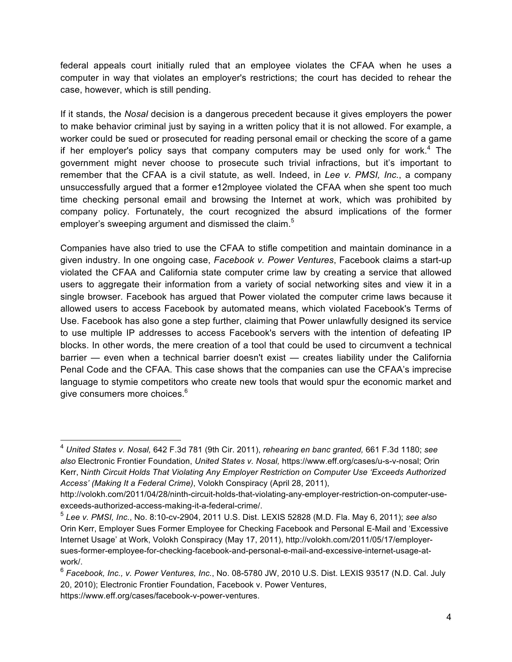federal appeals court initially ruled that an employee violates the CFAA when he uses a computer in way that violates an employer's restrictions; the court has decided to rehear the case, however, which is still pending.

If it stands, the *Nosal* decision is a dangerous precedent because it gives employers the power to make behavior criminal just by saying in a written policy that it is not allowed. For example, a worker could be sued or prosecuted for reading personal email or checking the score of a game if her employer's policy says that company computers may be used only for work.<sup>4</sup> The government might never choose to prosecute such trivial infractions, but it's important to remember that the CFAA is a civil statute, as well. Indeed, in *Lee v. PMSI, Inc.*, a company unsuccessfully argued that a former e12mployee violated the CFAA when she spent too much time checking personal email and browsing the Internet at work, which was prohibited by company policy. Fortunately, the court recognized the absurd implications of the former employer's sweeping argument and dismissed the claim.<sup>5</sup>

Companies have also tried to use the CFAA to stifle competition and maintain dominance in a given industry. In one ongoing case, *Facebook v. Power Ventures*, Facebook claims a start-up violated the CFAA and California state computer crime law by creating a service that allowed users to aggregate their information from a variety of social networking sites and view it in a single browser. Facebook has argued that Power violated the computer crime laws because it allowed users to access Facebook by automated means, which violated Facebook's Terms of Use. Facebook has also gone a step further, claiming that Power unlawfully designed its service to use multiple IP addresses to access Facebook's servers with the intention of defeating IP blocks. In other words, the mere creation of a tool that could be used to circumvent a technical barrier — even when a technical barrier doesn't exist — creates liability under the California Penal Code and the CFAA. This case shows that the companies can use the CFAA's imprecise language to stymie competitors who create new tools that would spur the economic market and give consumers more choices.<sup>6</sup>

 <sup>4</sup> *United States v. Nosal,* 642 F.3d 781 (9th Cir. 2011), *rehearing en banc granted,* 661 F.3d 1180; *see also* Electronic Frontier Foundation, *United States v. Nosal,* https://www.eff.org/cases/u-s-v-nosal; Orin Kerr, N*inth Circuit Holds That Violating Any Employer Restriction on Computer Use 'Exceeds Authorized Access' (Making It a Federal Crime)*, Volokh Conspiracy (April 28, 2011),

http://volokh.com/2011/04/28/ninth-circuit-holds-that-violating-any-employer-restriction-on-computer-useexceeds-authorized-access-making-it-a-federal-crime/.

<sup>5</sup> *Lee v. PMSI, Inc.*, No. 8:10-cv-2904, 2011 U.S. Dist. LEXIS 52828 (M.D. Fla. May 6, 2011); *see also* Orin Kerr, Employer Sues Former Employee for Checking Facebook and Personal E-Mail and 'Excessive Internet Usage' at Work, Volokh Conspiracy (May 17, 2011), http://volokh.com/2011/05/17/employersues-former-employee-for-checking-facebook-and-personal-e-mail-and-excessive-internet-usage-atwork/.

<sup>6</sup> *Facebook, Inc., v. Power Ventures, Inc.*, No. 08-5780 JW, 2010 U.S. Dist. LEXIS 93517 (N.D. Cal. July 20, 2010); Electronic Frontier Foundation, Facebook v. Power Ventures, https://www.eff.org/cases/facebook-v-power-ventures.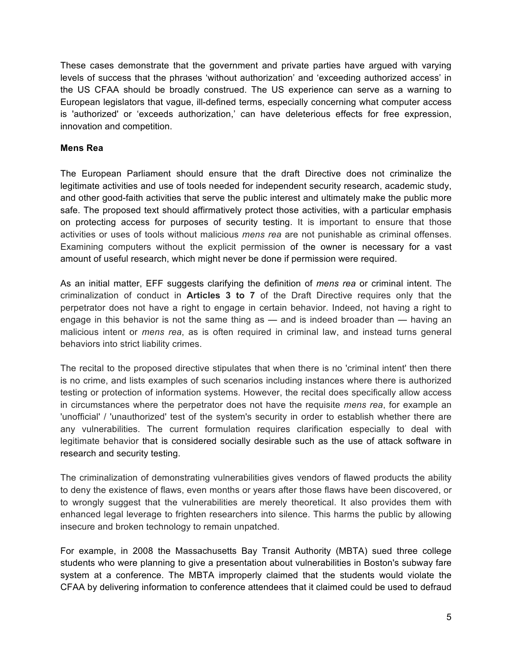These cases demonstrate that the government and private parties have argued with varying levels of success that the phrases 'without authorization' and 'exceeding authorized access' in the US CFAA should be broadly construed. The US experience can serve as a warning to European legislators that vague, ill-defined terms, especially concerning what computer access is 'authorized' or 'exceeds authorization,' can have deleterious effects for free expression, innovation and competition.

#### **Mens Rea**

The European Parliament should ensure that the draft Directive does not criminalize the legitimate activities and use of tools needed for independent security research, academic study, and other good-faith activities that serve the public interest and ultimately make the public more safe. The proposed text should affirmatively protect those activities, with a particular emphasis on protecting access for purposes of security testing. It is important to ensure that those activities or uses of tools without malicious *mens rea* are not punishable as criminal offenses. Examining computers without the explicit permission of the owner is necessary for a vast amount of useful research, which might never be done if permission were required.

As an initial matter, EFF suggests clarifying the definition of *mens rea* or criminal intent. The criminalization of conduct in **Articles 3 to 7** of the Draft Directive requires only that the perpetrator does not have a right to engage in certain behavior. Indeed, not having a right to engage in this behavior is not the same thing as — and is indeed broader than — having an malicious intent or *mens rea*, as is often required in criminal law, and instead turns general behaviors into strict liability crimes.

The recital to the proposed directive stipulates that when there is no 'criminal intent' then there is no crime, and lists examples of such scenarios including instances where there is authorized testing or protection of information systems. However, the recital does specifically allow access in circumstances where the perpetrator does not have the requisite *mens rea*, for example an 'unofficial' / 'unauthorized' test of the system's security in order to establish whether there are any vulnerabilities. The current formulation requires clarification especially to deal with legitimate behavior that is considered socially desirable such as the use of attack software in research and security testing.

The criminalization of demonstrating vulnerabilities gives vendors of flawed products the ability to deny the existence of flaws, even months or years after those flaws have been discovered, or to wrongly suggest that the vulnerabilities are merely theoretical. It also provides them with enhanced legal leverage to frighten researchers into silence. This harms the public by allowing insecure and broken technology to remain unpatched.

For example, in 2008 the Massachusetts Bay Transit Authority (MBTA) sued three college students who were planning to give a presentation about vulnerabilities in Boston's subway fare system at a conference. The MBTA improperly claimed that the students would violate the CFAA by delivering information to conference attendees that it claimed could be used to defraud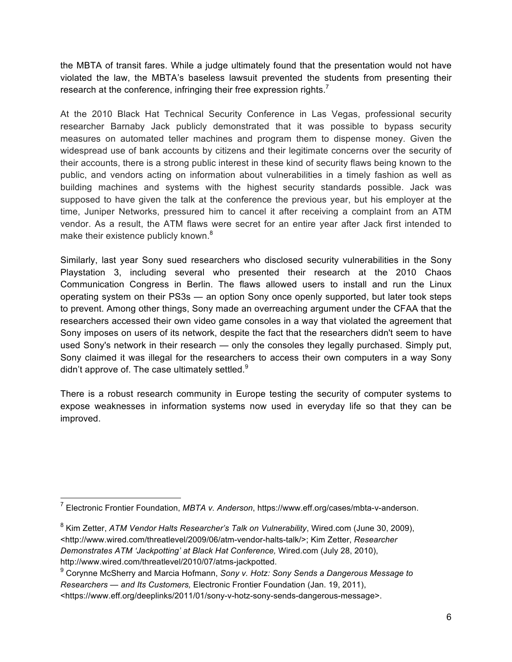the MBTA of transit fares. While a judge ultimately found that the presentation would not have violated the law, the MBTA's baseless lawsuit prevented the students from presenting their research at the conference, infringing their free expression rights.<sup>7</sup>

At the 2010 Black Hat Technical Security Conference in Las Vegas, professional security researcher Barnaby Jack publicly demonstrated that it was possible to bypass security measures on automated teller machines and program them to dispense money. Given the widespread use of bank accounts by citizens and their legitimate concerns over the security of their accounts, there is a strong public interest in these kind of security flaws being known to the public, and vendors acting on information about vulnerabilities in a timely fashion as well as building machines and systems with the highest security standards possible. Jack was supposed to have given the talk at the conference the previous year, but his employer at the time, Juniper Networks, pressured him to cancel it after receiving a complaint from an ATM vendor. As a result, the ATM flaws were secret for an entire year after Jack first intended to make their existence publicly known.<sup>8</sup>

Similarly, last year Sony sued researchers who disclosed security vulnerabilities in the Sony Playstation 3, including several who presented their research at the 2010 Chaos Communication Congress in Berlin. The flaws allowed users to install and run the Linux operating system on their PS3s — an option Sony once openly supported, but later took steps to prevent. Among other things, Sony made an overreaching argument under the CFAA that the researchers accessed their own video game consoles in a way that violated the agreement that Sony imposes on users of its network, despite the fact that the researchers didn't seem to have used Sony's network in their research — only the consoles they legally purchased. Simply put, Sony claimed it was illegal for the researchers to access their own computers in a way Sony didn't approve of. The case ultimately settled. $9$ 

There is a robust research community in Europe testing the security of computer systems to expose weaknesses in information systems now used in everyday life so that they can be improved.

 <sup>7</sup> Electronic Frontier Foundation, *MBTA v. Anderson*, https://www.eff.org/cases/mbta-v-anderson.

<sup>8</sup> Kim Zetter, *ATM Vendor Halts Researcher's Talk on Vulnerability*, Wired.com (June 30, 2009), <http://www.wired.com/threatlevel/2009/06/atm-vendor-halts-talk/>; Kim Zetter, *Researcher Demonstrates ATM 'Jackpotting' at Black Hat Conference,* Wired.com (July 28, 2010), http://www.wired.com/threatlevel/2010/07/atms-jackpotted.

<sup>9</sup> Corynne McSherry and Marcia Hofmann, *Sony v. Hotz: Sony Sends a Dangerous Message to Researchers — and Its Customers,* Electronic Frontier Foundation (Jan. 19, 2011), <https://www.eff.org/deeplinks/2011/01/sony-v-hotz-sony-sends-dangerous-message>.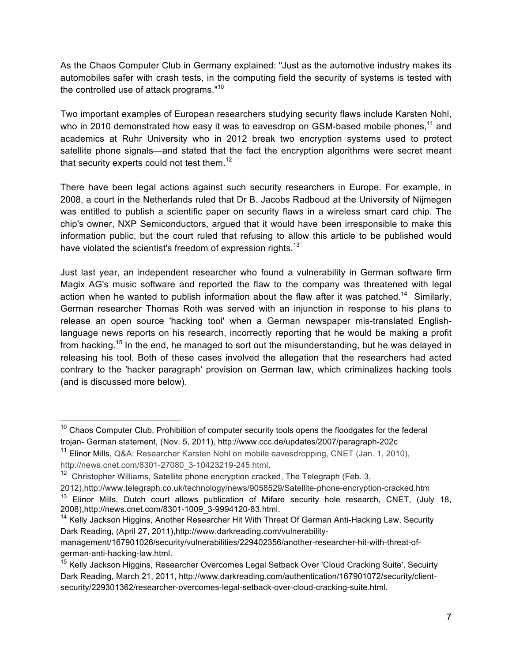As the Chaos Computer Club in Germany explained: "Just as the automotive industry makes its automobiles safer with crash tests, in the computing field the security of systems is tested with the controlled use of attack programs."10

Two important examples of European researchers studying security flaws include Karsten Nohl, who in 2010 demonstrated how easy it was to eavesdrop on GSM-based mobile phones.<sup>11</sup> and academics at Ruhr University who in 2012 break two encryption systems used to protect satellite phone signals—and stated that the fact the encryption algorithms were secret meant that security experts could not test them.<sup>12</sup>

There have been legal actions against such security researchers in Europe. For example, in 2008, a court in the Netherlands ruled that Dr B. Jacobs Radboud at the University of Nijmegen was entitled to publish a scientific paper on security flaws in a wireless smart card chip. The chip's owner, NXP Semiconductors, argued that it would have been irresponsible to make this information public, but the court ruled that refusing to allow this article to be published would have violated the scientist's freedom of expression rights.<sup>13</sup>

Just last year, an independent researcher who found a vulnerability in German software firm Magix AG's music software and reported the flaw to the company was threatened with legal action when he wanted to publish information about the flaw after it was patched.<sup>14</sup> Similarly, German researcher Thomas Roth was served with an injunction in response to his plans to release an open source 'hacking tool' when a German newspaper mis-translated Englishlanguage news reports on his research, incorrectly reporting that he would be making a profit from hacking.<sup>15</sup> In the end, he managed to sort out the misunderstanding, but he was delayed in releasing his tool. Both of these cases involved the allegation that the researchers had acted contrary to the 'hacker paragraph' provision on German law, which criminalizes hacking tools (and is discussed more below).

 $10$  Chaos Computer Club, Prohibition of computer security tools opens the floodgates for the federal trojan- German statement, (Nov. 5, 2011), http://www.ccc.de/updates/2007/paragraph-202c

<sup>&</sup>lt;sup>11</sup> Elinor Mills, Q&A: Researcher Karsten Nohl on mobile eavesdropping, CNET (Jan. 1, 2010), http://news.cnet.com/8301-27080\_3-10423219-245.html.

 $12$  Christopher Williams, Satellite phone encryption cracked, The Telegraph (Feb. 3,

<sup>2012),</sup>http://www.telegraph.co.uk/technology/news/9058529/Satellite-phone-encryption-cracked.htm <sup>13</sup> Elinor Mills, Dutch court allows publication of Mifare security hole research, CNET, (July 18, 2008),http://news.cnet.com/8301-1009\_3-9994120-83.html.

<sup>&</sup>lt;sup>14</sup> Kelly Jackson Higgins, Another Researcher Hit With Threat Of German Anti-Hacking Law, Security Dark Reading, (April 27, 2011),http://www.darkreading.com/vulnerability-

management/167901026/security/vulnerabilities/229402356/another-researcher-hit-with-threat-ofgerman-anti-hacking-law.html.

<sup>&</sup>lt;sup>15</sup> Kelly Jackson Higgins, Researcher Overcomes Legal Setback Over 'Cloud Cracking Suite', Secuirty Dark Reading, March 21, 2011, http://www.darkreading.com/authentication/167901072/security/clientsecurity/229301362/researcher-overcomes-legal-setback-over-cloud-cracking-suite.html.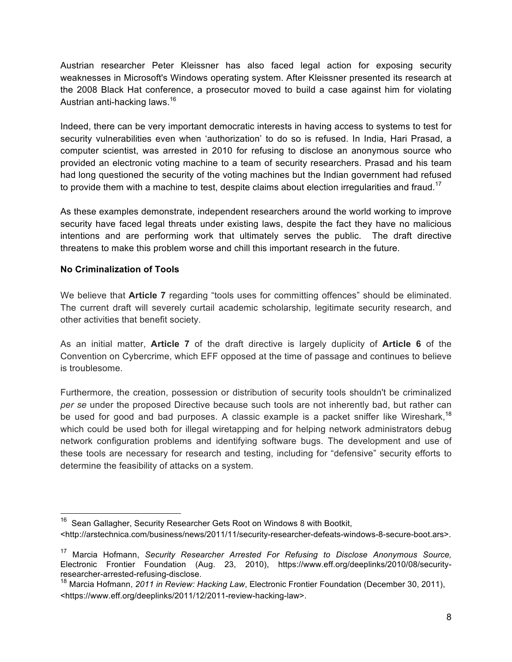Austrian researcher Peter Kleissner has also faced legal action for exposing security weaknesses in Microsoft's Windows operating system. After Kleissner presented its research at the 2008 Black Hat conference, a prosecutor moved to build a case against him for violating Austrian anti-hacking laws.<sup>16</sup>

Indeed, there can be very important democratic interests in having access to systems to test for security vulnerabilities even when 'authorization' to do so is refused. In India, Hari Prasad, a computer scientist, was arrested in 2010 for refusing to disclose an anonymous source who provided an electronic voting machine to a team of security researchers. Prasad and his team had long questioned the security of the voting machines but the Indian government had refused to provide them with a machine to test, despite claims about election irregularities and fraud.<sup>17</sup>

As these examples demonstrate, independent researchers around the world working to improve security have faced legal threats under existing laws, despite the fact they have no malicious intentions and are performing work that ultimately serves the public. The draft directive threatens to make this problem worse and chill this important research in the future.

# **No Criminalization of Tools**

We believe that **Article 7** regarding "tools uses for committing offences" should be eliminated. The current draft will severely curtail academic scholarship, legitimate security research, and other activities that benefit society.

As an initial matter, **Article 7** of the draft directive is largely duplicity of **Article 6** of the Convention on Cybercrime, which EFF opposed at the time of passage and continues to believe is troublesome.

Furthermore, the creation, possession or distribution of security tools shouldn't be criminalized *per se* under the proposed Directive because such tools are not inherently bad, but rather can be used for good and bad purposes. A classic example is a packet sniffer like Wireshark,<sup>18</sup> which could be used both for illegal wiretapping and for helping network administrators debug network configuration problems and identifying software bugs. The development and use of these tools are necessary for research and testing, including for "defensive" security efforts to determine the feasibility of attacks on a system.

<sup>&</sup>lt;sup>16</sup> Sean Gallagher, Security Researcher Gets Root on Windows 8 with Bootkit, <http://arstechnica.com/business/news/2011/11/security-researcher-defeats-windows-8-secure-boot.ars>.

<sup>17</sup> Marcia Hofmann, *Security Researcher Arrested For Refusing to Disclose Anonymous Source,*  Electronic Frontier Foundation (Aug. 23, 2010), https://www.eff.org/deeplinks/2010/08/securityresearcher-arrested-refusing-disclose.

<sup>18</sup> Marcia Hofmann, *2011 in Review: Hacking Law*, Electronic Frontier Foundation (December 30, 2011), <https://www.eff.org/deeplinks/2011/12/2011-review-hacking-law>.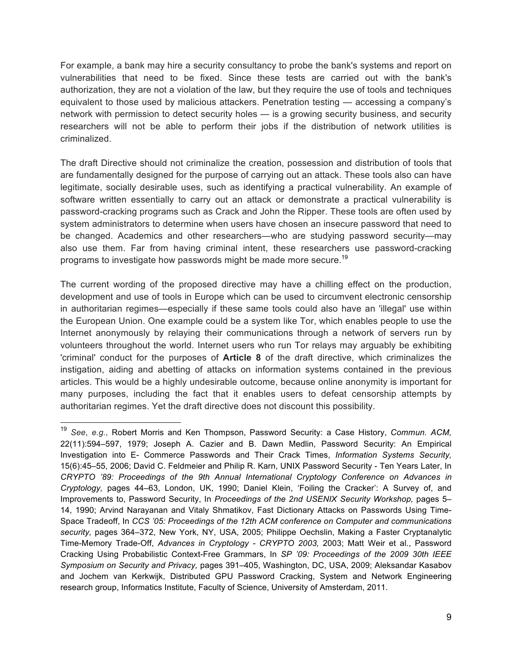For example, a bank may hire a security consultancy to probe the bank's systems and report on vulnerabilities that need to be fixed. Since these tests are carried out with the bank's authorization, they are not a violation of the law, but they require the use of tools and techniques equivalent to those used by malicious attackers. Penetration testing — accessing a company's network with permission to detect security holes — is a growing security business, and security researchers will not be able to perform their jobs if the distribution of network utilities is criminalized.

The draft Directive should not criminalize the creation, possession and distribution of tools that are fundamentally designed for the purpose of carrying out an attack. These tools also can have legitimate, socially desirable uses, such as identifying a practical vulnerability. An example of software written essentially to carry out an attack or demonstrate a practical vulnerability is password-cracking programs such as Crack and John the Ripper. These tools are often used by system administrators to determine when users have chosen an insecure password that need to be changed. Academics and other researchers—who are studying password security—may also use them. Far from having criminal intent, these researchers use password-cracking programs to investigate how passwords might be made more secure.<sup>19</sup>

The current wording of the proposed directive may have a chilling effect on the production, development and use of tools in Europe which can be used to circumvent electronic censorship in authoritarian regimes—especially if these same tools could also have an 'illegal' use within the European Union. One example could be a system like Tor, which enables people to use the Internet anonymously by relaying their communications through a network of servers run by volunteers throughout the world. Internet users who run Tor relays may arguably be exhibiting 'criminal' conduct for the purposes of **Article 8** of the draft directive, which criminalizes the instigation, aiding and abetting of attacks on information systems contained in the previous articles. This would be a highly undesirable outcome, because online anonymity is important for many purposes, including the fact that it enables users to defeat censorship attempts by authoritarian regimes. Yet the draft directive does not discount this possibility.

 <sup>19</sup> *See*, *e.g.*, Robert Morris and Ken Thompson, Password Security: a Case History, *Commun. ACM,*  22(11):594–597, 1979; Joseph A. Cazier and B. Dawn Medlin, Password Security: An Empirical Investigation into E- Commerce Passwords and Their Crack Times, *Information Systems Security,*  15(6):45–55, 2006; David C. Feldmeier and Philip R. Karn, UNIX Password Security - Ten Years Later, In *CRYPTO '89: Proceedings of the 9th Annual International Cryptology Conference on Advances in Cryptology,* pages 44–63, London, UK, 1990; Daniel Klein, 'Foiling the Cracker': A Survey of, and Improvements to, Password Security, In *Proceedings of the 2nd USENIX Security Workshop, pages 5*-14, 1990; Arvind Narayanan and Vitaly Shmatikov, Fast Dictionary Attacks on Passwords Using Time-Space Tradeoff, In *CCS '05: Proceedings of the 12th ACM conference on Computer and communications security,* pages 364–372, New York, NY, USA, 2005; Philippe Oechslin, Making a Faster Cryptanalytic Time-Memory Trade-Off, *Advances in Cryptology - CRYPTO 2003,* 2003; Matt Weir et al., Password Cracking Using Probabilistic Context-Free Grammars, In *SP '09: Proceedings of the 2009 30th IEEE Symposium on Security and Privacy,* pages 391–405, Washington, DC, USA, 2009; Aleksandar Kasabov and Jochem van Kerkwijk, Distributed GPU Password Cracking, System and Network Engineering research group, Informatics Institute, Faculty of Science, University of Amsterdam, 2011.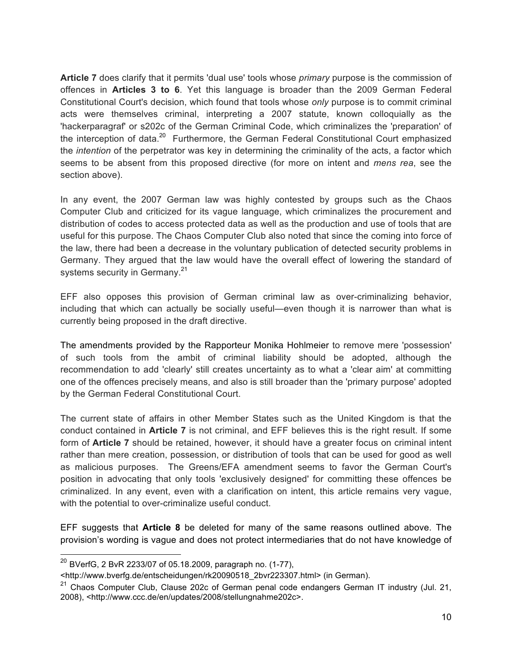**Article 7** does clarify that it permits 'dual use' tools whose *primary* purpose is the commission of offences in **Articles 3 to 6**. Yet this language is broader than the 2009 German Federal Constitutional Court's decision, which found that tools whose *only* purpose is to commit criminal acts were themselves criminal, interpreting a 2007 statute, known colloquially as the 'hackerparagraf' or s202c of the German Criminal Code, which criminalizes the 'preparation' of the interception of data.<sup>20</sup> Furthermore, the German Federal Constitutional Court emphasized the *intention* of the perpetrator was key in determining the criminality of the acts, a factor which seems to be absent from this proposed directive (for more on intent and *mens rea*, see the section above).

In any event, the 2007 German law was highly contested by groups such as the Chaos Computer Club and criticized for its vague language, which criminalizes the procurement and distribution of codes to access protected data as well as the production and use of tools that are useful for this purpose. The Chaos Computer Club also noted that since the coming into force of the law, there had been a decrease in the voluntary publication of detected security problems in Germany. They argued that the law would have the overall effect of lowering the standard of systems security in Germany.<sup>21</sup>

EFF also opposes this provision of German criminal law as over-criminalizing behavior, including that which can actually be socially useful—even though it is narrower than what is currently being proposed in the draft directive.

The amendments provided by the Rapporteur Monika Hohlmeier to remove mere 'possession' of such tools from the ambit of criminal liability should be adopted, although the recommendation to add 'clearly' still creates uncertainty as to what a 'clear aim' at committing one of the offences precisely means, and also is still broader than the 'primary purpose' adopted by the German Federal Constitutional Court.

The current state of affairs in other Member States such as the United Kingdom is that the conduct contained in **Article 7** is not criminal, and EFF believes this is the right result. If some form of **Article 7** should be retained, however, it should have a greater focus on criminal intent rather than mere creation, possession, or distribution of tools that can be used for good as well as malicious purposes. The Greens/EFA amendment seems to favor the German Court's position in advocating that only tools 'exclusively designed' for committing these offences be criminalized. In any event, even with a clarification on intent, this article remains very vague, with the potential to over-criminalize useful conduct.

EFF suggests that **Article 8** be deleted for many of the same reasons outlined above. The provision's wording is vague and does not protect intermediaries that do not have knowledge of

 $^{20}$  BVerfG, 2 BvR 2233/07 of 05.18.2009, paragraph no. (1-77),

<sup>&</sup>lt;http://www.bverfg.de/entscheidungen/rk20090518\_2bvr223307.html> (in German).

 $21$  Chaos Computer Club, Clause 202c of German penal code endangers German IT industry (Jul. 21, 2008), <http://www.ccc.de/en/updates/2008/stellungnahme202c>.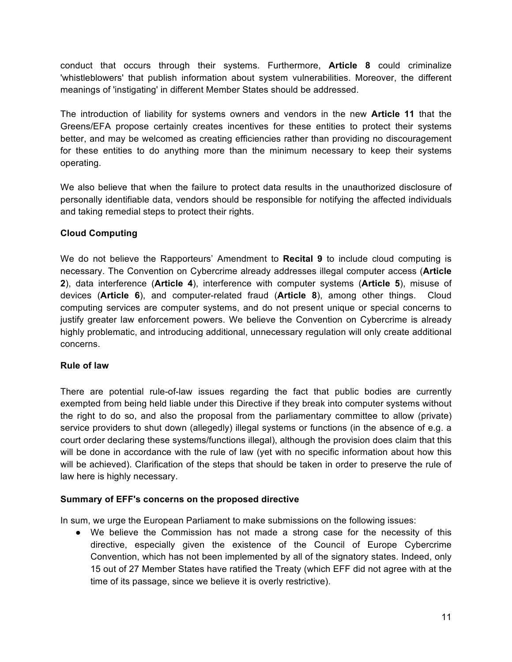conduct that occurs through their systems. Furthermore, **Article 8** could criminalize 'whistleblowers' that publish information about system vulnerabilities. Moreover, the different meanings of 'instigating' in different Member States should be addressed.

The introduction of liability for systems owners and vendors in the new **Article 11** that the Greens/EFA propose certainly creates incentives for these entities to protect their systems better, and may be welcomed as creating efficiencies rather than providing no discouragement for these entities to do anything more than the minimum necessary to keep their systems operating.

We also believe that when the failure to protect data results in the unauthorized disclosure of personally identifiable data, vendors should be responsible for notifying the affected individuals and taking remedial steps to protect their rights.

# **Cloud Computing**

We do not believe the Rapporteurs' Amendment to **Recital 9** to include cloud computing is necessary. The Convention on Cybercrime already addresses illegal computer access (**Article 2**), data interference (**Article 4**), interference with computer systems (**Article 5**), misuse of devices (**Article 6**), and computer-related fraud (**Article 8**), among other things. Cloud computing services are computer systems, and do not present unique or special concerns to justify greater law enforcement powers. We believe the Convention on Cybercrime is already highly problematic, and introducing additional, unnecessary regulation will only create additional concerns.

# **Rule of law**

There are potential rule-of-law issues regarding the fact that public bodies are currently exempted from being held liable under this Directive if they break into computer systems without the right to do so, and also the proposal from the parliamentary committee to allow (private) service providers to shut down (allegedly) illegal systems or functions (in the absence of e.g. a court order declaring these systems/functions illegal), although the provision does claim that this will be done in accordance with the rule of law (yet with no specific information about how this will be achieved). Clarification of the steps that should be taken in order to preserve the rule of law here is highly necessary.

# **Summary of EFF's concerns on the proposed directive**

In sum, we urge the European Parliament to make submissions on the following issues:

● We believe the Commission has not made a strong case for the necessity of this directive, especially given the existence of the Council of Europe Cybercrime Convention, which has not been implemented by all of the signatory states. Indeed, only 15 out of 27 Member States have ratified the Treaty (which EFF did not agree with at the time of its passage, since we believe it is overly restrictive).